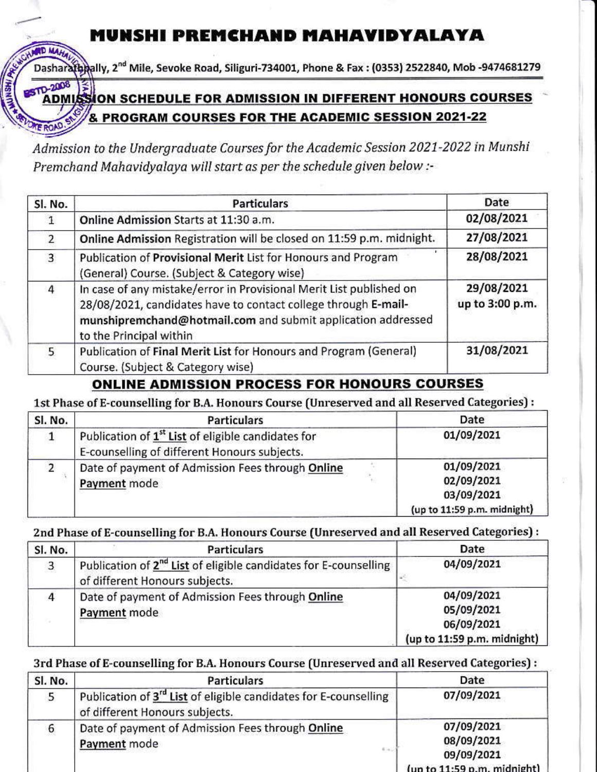# **MUNSHI PREMCHAND MAHAVIDYALAYA**

theally, 2<sup>nd</sup> Mile, Sevoke Road, Siliguri-734001, Phone & Fax : (0353) 2522840, Mob -9474681279

# **STD-2008** ADMISSION SCHEDULE FOR ADMISSION IN DIFFERENT HONOURS COURSES & PROGRAM COURSES FOR THE ACADEMIC SESSION 2021-22

Admission to the Undergraduate Courses for the Academic Session 2021-2022 in Munshi Premchand Mahavidyalaya will start as per the schedule given below :-

| Sl. No.        | <b>Particulars</b>                                                                                                                                                                                                               | Date                          |
|----------------|----------------------------------------------------------------------------------------------------------------------------------------------------------------------------------------------------------------------------------|-------------------------------|
|                | Online Admission Starts at 11:30 a.m.                                                                                                                                                                                            | 02/08/2021                    |
| $\overline{2}$ | Online Admission Registration will be closed on 11:59 p.m. midnight.                                                                                                                                                             | 27/08/2021                    |
| $\overline{3}$ | Publication of Provisional Merit List for Honours and Program<br>(General) Course. (Subject & Category wise)                                                                                                                     | 28/08/2021                    |
| $\overline{4}$ | In case of any mistake/error in Provisional Merit List published on<br>28/08/2021, candidates have to contact college through E-mail-<br>munshipremchand@hotmail.com and submit application addressed<br>to the Principal within | 29/08/2021<br>up to 3:00 p.m. |
| 5              | Publication of Final Merit List for Honours and Program (General)<br>Course. (Subject & Category wise)                                                                                                                           | 31/08/2021                    |

## **ONLINE ADMISSION PROCESS FOR HONOURS COURSES**

1st Phase of E-counselling for B.A. Honours Course (Unreserved and all Reserved Categories) :

| Sl. No. | <b>Particulars</b>                                                                                             | Date                                                                  |
|---------|----------------------------------------------------------------------------------------------------------------|-----------------------------------------------------------------------|
|         | Publication of 1 <sup>st</sup> List of eligible candidates for<br>E-counselling of different Honours subjects. | 01/09/2021                                                            |
|         | Date of payment of Admission Fees through Online<br>Payment mode                                               | 01/09/2021<br>02/09/2021<br>03/09/2021<br>(up to 11:59 p.m. midnight) |

2nd Phase of E-counselling for B.A. Honours Course (Unreserved and all Reserved Categories) :

| Sl. No.      | <b>Particulars</b>                                                                                             | Date                                                                  |
|--------------|----------------------------------------------------------------------------------------------------------------|-----------------------------------------------------------------------|
| $\mathbf{3}$ | Publication of 2 <sup>nd</sup> List of eligible candidates for E-counselling<br>of different Honours subjects. | 04/09/2021                                                            |
| 4            | Date of payment of Admission Fees through Online<br>Payment mode                                               | 04/09/2021<br>05/09/2021<br>06/09/2021<br>(up to 11:59 p.m. midnight) |

### 3rd Phase of E-counselling for B.A. Honours Course (Unreserved and all Reserved Categories) :

| Sl. No. | <b>Particulars</b>                                                                                             | Date                                                                  |
|---------|----------------------------------------------------------------------------------------------------------------|-----------------------------------------------------------------------|
| 5       | Publication of 3 <sup>rd</sup> List of eligible candidates for E-counselling<br>of different Honours subjects. | 07/09/2021                                                            |
| 6       | Date of payment of Admission Fees through Online<br>Payment mode<br>$8 - 1$                                    | 07/09/2021<br>08/09/2021<br>09/09/2021<br>(up to 11:59 p.m. midnight) |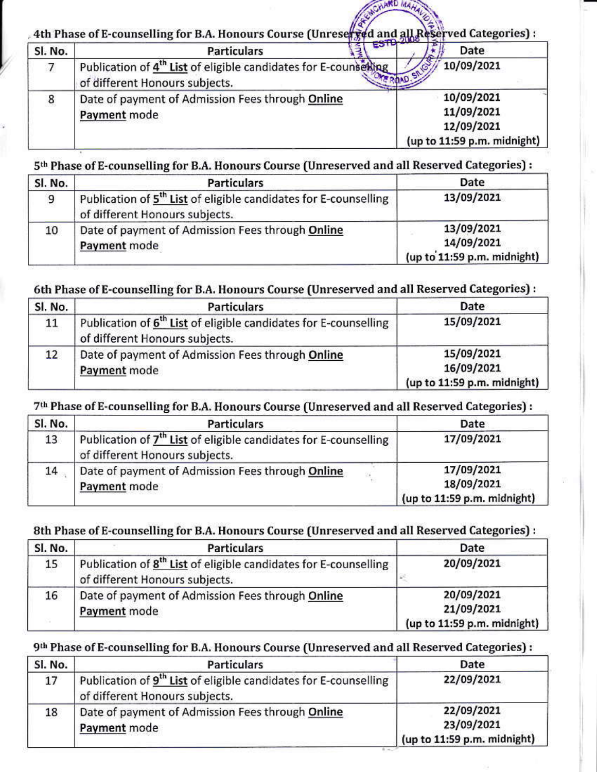4th Phase of E-counselling for B.A. Honours Course (Unreserved and all Re Served Categories):

| Sl. No. | <b>Particulars</b>                                                                                            | Date                                                                  |
|---------|---------------------------------------------------------------------------------------------------------------|-----------------------------------------------------------------------|
|         | Publication of 4 <sup>th</sup> List of eligible candidates for E-counseting<br>of different Honours subjects. | 10/09/2021                                                            |
| 8       | Date of payment of Admission Fees through Online<br>Payment mode                                              | 10/09/2021<br>11/09/2021<br>12/09/2021<br>(up to 11:59 p.m. midnight) |

### 5th Phase of E-counselling for B.A. Honours Course (Unreserved and all Reserved Categories) :

| Sl. No. | <b>Particulars</b>                                                                                             | Date                                                    |
|---------|----------------------------------------------------------------------------------------------------------------|---------------------------------------------------------|
| 9       | Publication of 5 <sup>th</sup> List of eligible candidates for E-counselling<br>of different Honours subjects. | 13/09/2021                                              |
| 10      | Date of payment of Admission Fees through Online<br>Payment mode                                               | 13/09/2021<br>14/09/2021<br>(up to 11:59 p.m. midnight) |

### 6th Phase of E-counselling for B.A. Honours Course (Unreserved and all Reserved Categories) :

| SI. No. | <b>Particulars</b>                                                                                             | Date                                                    |
|---------|----------------------------------------------------------------------------------------------------------------|---------------------------------------------------------|
| 11      | Publication of 6 <sup>th</sup> List of eligible candidates for E-counselling<br>of different Honours subjects. | 15/09/2021                                              |
| 12      | Date of payment of Admission Fees through Online<br>Payment mode                                               | 15/09/2021<br>16/09/2021<br>(up to 11:59 p.m. midnight) |

### 7th Phase of E-counselling for B.A. Honours Course (Unreserved and all Reserved Categories) :

| SI. No. | <b>Particulars</b>                                                                                             | Date                                                    |
|---------|----------------------------------------------------------------------------------------------------------------|---------------------------------------------------------|
| 13      | Publication of 7 <sup>th</sup> List of eligible candidates for E-counselling<br>of different Honours subjects. | 17/09/2021                                              |
| 14      | Date of payment of Admission Fees through Online<br>Payment mode                                               | 17/09/2021<br>18/09/2021<br>(up to 11:59 p.m. midnight) |

#### 8th Phase of E-counselling for B.A. Honours Course (Unreserved and all Reserved Categories) :

| Sl. No. | <b>Particulars</b>                                                                                             | Date                                                    |
|---------|----------------------------------------------------------------------------------------------------------------|---------------------------------------------------------|
| 15      | Publication of 8 <sup>th</sup> List of eligible candidates for E-counselling<br>of different Honours subjects. | 20/09/2021                                              |
| 16      | Date of payment of Admission Fees through Online<br>Payment mode                                               | 20/09/2021<br>21/09/2021<br>(up to 11:59 p.m. midnight) |

### 9th Phase of E-counselling for B.A. Honours Course (Unreserved and all Reserved Categories) :

| Sl. No. | <b>Particulars</b>                                                                                             | Date                                                    |
|---------|----------------------------------------------------------------------------------------------------------------|---------------------------------------------------------|
| 17      | Publication of 9 <sup>th</sup> List of eligible candidates for E-counselling<br>of different Honours subjects. | 22/09/2021                                              |
| 18      | Date of payment of Admission Fees through Online<br>Payment mode                                               | 22/09/2021<br>23/09/2021<br>(up to 11:59 p.m. midnight) |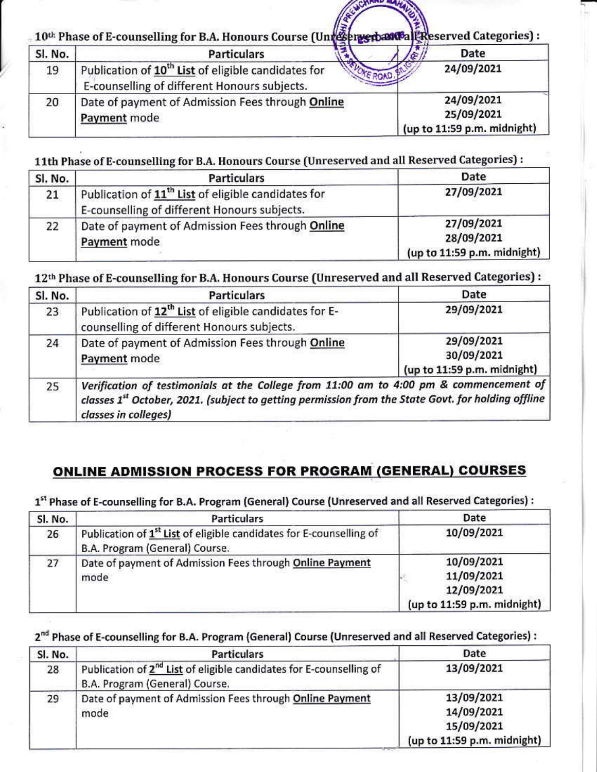10<sup>th</sup> Phase of E-counselling for B.A. Honours Course (Unreserved Reserved Categories):

| Sl. No. | <b>Particulars</b>                                                                                              | Date                                                    |
|---------|-----------------------------------------------------------------------------------------------------------------|---------------------------------------------------------|
| 19      | Publication of 10 <sup>th</sup> List of eligible candidates for<br>E-counselling of different Honours subjects. | 24/09/2021                                              |
| 20      | Date of payment of Admission Fees through Online<br>Payment mode                                                | 24/09/2021<br>25/09/2021<br>(up to 11:59 p.m. midnight) |

11th Phase of E-counselling for B.A. Honours Course (Unreserved and all Reserved Categories) :

| Sl. No. | <b>Particulars</b>                                                                                              | Date                                                    |
|---------|-----------------------------------------------------------------------------------------------------------------|---------------------------------------------------------|
| 21      | Publication of 11 <sup>th</sup> List of eligible candidates for<br>E-counselling of different Honours subjects. | 27/09/2021                                              |
| 22      | Date of payment of Admission Fees through Online<br>Payment mode                                                | 27/09/2021<br>28/09/2021<br>(up to 11:59 p.m. midnight) |

12th Phase of E-counselling for B.A. Honours Course (Unreserved and all Reserved Categories) :

| Sl. No. | <b>Particulars</b>                                                                                                                                                                                                               | Date                                                    |
|---------|----------------------------------------------------------------------------------------------------------------------------------------------------------------------------------------------------------------------------------|---------------------------------------------------------|
| 23      | Publication of 12 <sup>th</sup> List of eligible candidates for E-<br>counselling of different Honours subjects.                                                                                                                 | 29/09/2021                                              |
| 24      | Date of payment of Admission Fees through Online<br>Payment mode                                                                                                                                                                 | 29/09/2021<br>30/09/2021<br>(up to 11:59 p.m. midnight) |
| 25      | Verification of testimonials at the College from 11:00 am to 4:00 pm & commencement of<br>classes 1 <sup>st</sup> October, 2021. (subject to getting permission from the State Govt. for holding offline<br>classes in colleges) |                                                         |

# **ONLINE ADMISSION PROCESS FOR PROGRAM (GENERAL) COURSES**

1<sup>st</sup> Phase of E-counselling for B.A. Program (General) Course (Unreserved and all Reserved Categories) :

| Sl. No. | <b>Particulars</b>                                                                                                | Date                                                                  |
|---------|-------------------------------------------------------------------------------------------------------------------|-----------------------------------------------------------------------|
| 26      | Publication of 1 <sup>st</sup> List of eligible candidates for E-counselling of<br>B.A. Program (General) Course. | 10/09/2021                                                            |
| 27      | Date of payment of Admission Fees through Online Payment<br>mode                                                  | 10/09/2021<br>11/09/2021<br>12/09/2021<br>(up to 11:59 p.m. midnight) |

### 2<sup>nd</sup> Phase of E-counselling for B.A. Program (General) Course (Unreserved and all Reserved Categories) :

| Sl. No. | <b>Particulars</b>                                                                                                | Date                                                                  |
|---------|-------------------------------------------------------------------------------------------------------------------|-----------------------------------------------------------------------|
| 28      | Publication of 2 <sup>nd</sup> List of eligible candidates for E-counselling of<br>B.A. Program (General) Course. | 13/09/2021                                                            |
| 29      | Date of payment of Admission Fees through Online Payment<br>mode                                                  | 13/09/2021<br>14/09/2021<br>15/09/2021<br>(up to 11:59 p.m. midnight) |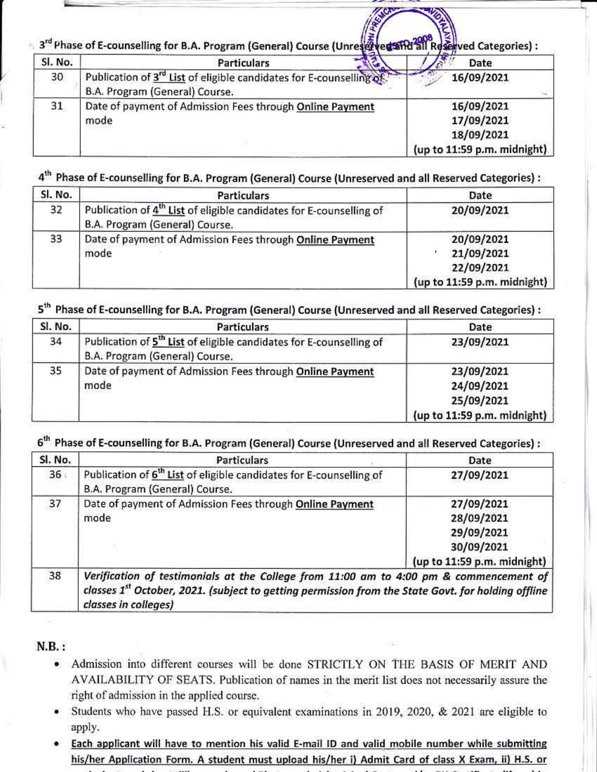3rd Phase of E-counselling for B.A. Program (General) Course (Unres & ved and all Reserved Categories) :

| Sl. No. | <b>Particulars</b>                                                                                                 | $\mathbf{r}$<br>Date                                                  |
|---------|--------------------------------------------------------------------------------------------------------------------|-----------------------------------------------------------------------|
| 30      | Publication of 3 <sup>rd</sup> List of eligible candidates for E-counselling of.<br>B.A. Program (General) Course. | 16/09/2021                                                            |
| 31      | Date of payment of Admission Fees through Online Payment<br>mode                                                   | 16/09/2021<br>17/09/2021<br>18/09/2021<br>(up to 11:59 p.m. midnight) |

### 4<sup>th</sup> Phase of E-counselling for B.A. Program (General) Course (Unreserved and all Reserved Categories) :

| Sl. No. | <b>Particulars</b>                                                                                                | Date                                                                  |
|---------|-------------------------------------------------------------------------------------------------------------------|-----------------------------------------------------------------------|
| 32      | Publication of 4 <sup>th</sup> List of eligible candidates for E-counselling of<br>B.A. Program (General) Course. | 20/09/2021                                                            |
| 33      | Date of payment of Admission Fees through Online Payment<br>mode                                                  | 20/09/2021<br>21/09/2021<br>22/09/2021<br>(up to 11:59 p.m. midnight) |

### 5<sup>th</sup> Phase of E-counselling for B.A. Program (General) Course (Unreserved and all Reserved Categories) :

| Sl. No. | <b>Particulars</b>                                                                                                | Date                                                                  |
|---------|-------------------------------------------------------------------------------------------------------------------|-----------------------------------------------------------------------|
| 34      | Publication of 5 <sup>th</sup> List of eligible candidates for E-counselling of<br>B.A. Program (General) Course. | 23/09/2021                                                            |
| 35      | Date of payment of Admission Fees through Online Payment<br>mode                                                  | 23/09/2021<br>24/09/2021<br>25/09/2021<br>(up to 11:59 p.m. midnight) |

# 6<sup>th</sup> Phase of E-counselling for B.A. Program (General) Course (Unreserved and all Reserved Categories) :

| Sl. No. | <b>Particulars</b>                                                                                                | Date                                                                                |
|---------|-------------------------------------------------------------------------------------------------------------------|-------------------------------------------------------------------------------------|
| 36:     | Publication of 6 <sup>th</sup> List of eligible candidates for E-counselling of<br>B.A. Program (General) Course. | 27/09/2021                                                                          |
| 37      | Date of payment of Admission Fees through Online Payment<br>mode                                                  | 27/09/2021<br>28/09/2021<br>29/09/2021<br>30/09/2021<br>(up to 11:59 p.m. midnight) |
| 38      | Verification of testimonials at the College from 11:00 am to 4:00 pm & commencement of                            |                                                                                     |

classes 1<sup>st</sup> October, 2021. (subject to getting permission from the State Govt. for holding offline classes in colleges)

### $N.B.:$

- Admission into different courses will be done STRICTLY ON THE BASIS OF MERIT AND AVAILABILITY OF SEATS. Publication of names in the merit list does not necessarily assure the right of admission in the applied course.
- Students who have passed H.S. or equivalent examinations in 2019, 2020, & 2021 are eligible to apply.
- . Each applicant will have to mention his valid E-mail ID and valid mobile number while submitting his/her Application Form. A student must upload his/her i) Admit Card of class X Exam, ii) H.S. or